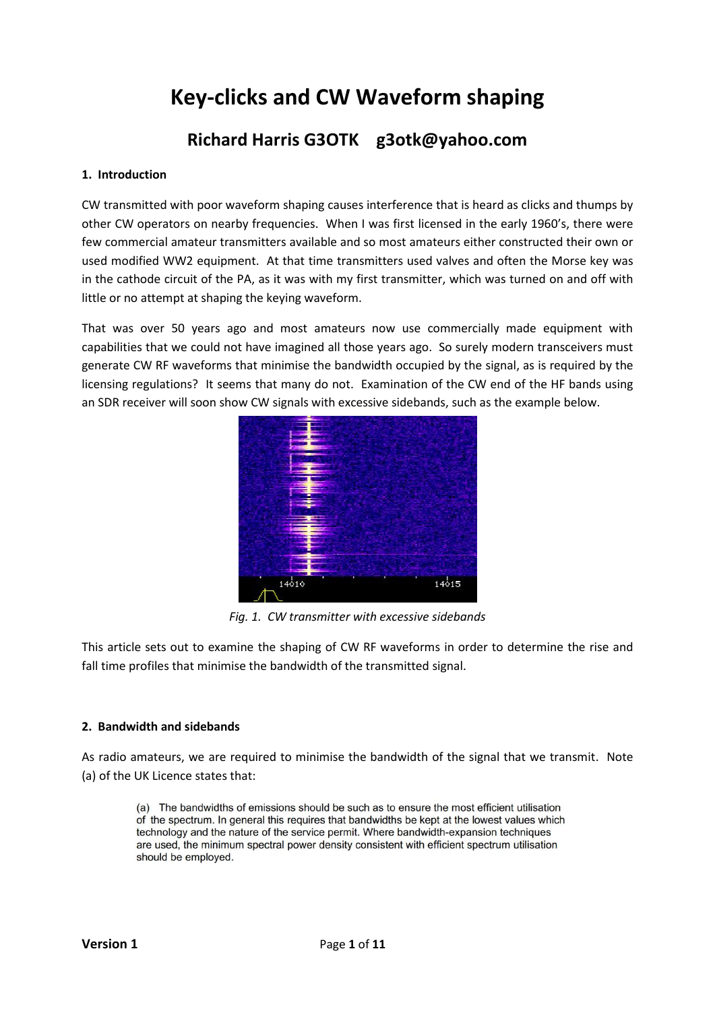# **Key-clicks and CW Waveform shaping**

## **Richard Harris G3OTK g3otk@yahoo.com**

#### **1. Introduction**

CW transmitted with poor waveform shaping causes interference that is heard as clicks and thumps by other CW operators on nearby frequencies. When I was first licensed in the early 1960's, there were few commercial amateur transmitters available and so most amateurs either constructed their own or used modified WW2 equipment. At that time transmitters used valves and often the Morse key was in the cathode circuit of the PA, as it was with my first transmitter, which was turned on and off with little or no attempt at shaping the keying waveform.

That was over 50 years ago and most amateurs now use commercially made equipment with capabilities that we could not have imagined all those years ago. So surely modern transceivers must generate CW RF waveforms that minimise the bandwidth occupied by the signal, as is required by the licensing regulations? It seems that many do not. Examination of the CW end of the HF bands using an SDR receiver will soon show CW signals with excessive sidebands, such as the example below.



*Fig. 1. CW transmitter with excessive sidebands*

This article sets out to examine the shaping of CW RF waveforms in order to determine the rise and fall time profiles that minimise the bandwidth of the transmitted signal.

#### **2. Bandwidth and sidebands**

As radio amateurs, we are required to minimise the bandwidth of the signal that we transmit. Note (a) of the UK Licence states that:

(a) The bandwidths of emissions should be such as to ensure the most efficient utilisation of the spectrum. In general this requires that bandwidths be kept at the lowest values which technology and the nature of the service permit. Where bandwidth-expansion techniques are used, the minimum spectral power density consistent with efficient spectrum utilisation should be employed.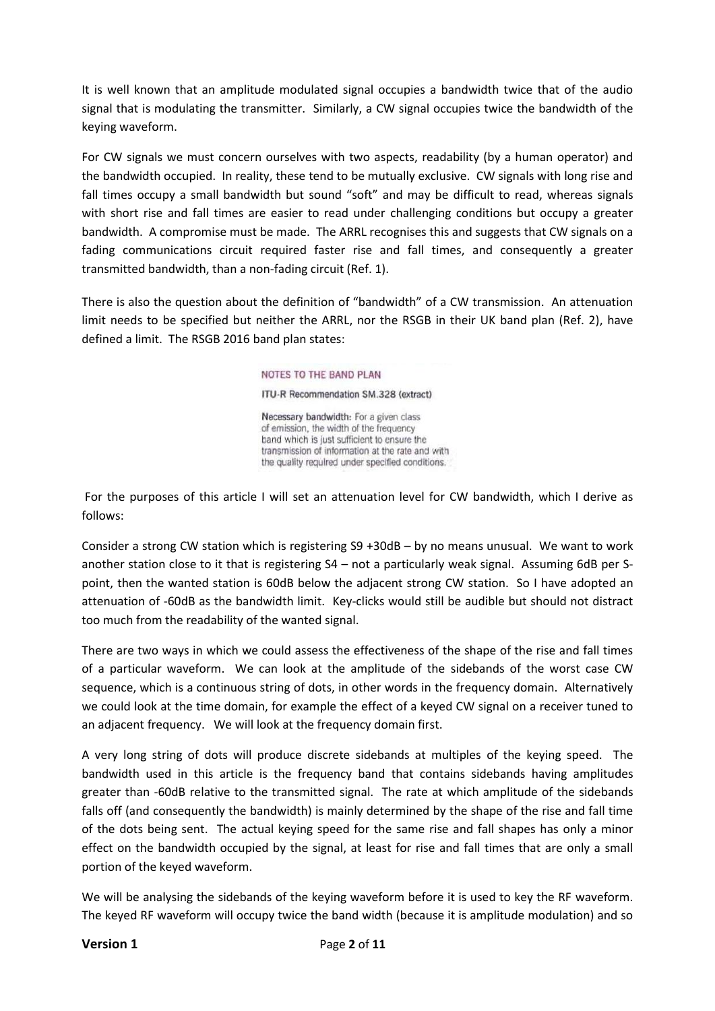It is well known that an amplitude modulated signal occupies a bandwidth twice that of the audio signal that is modulating the transmitter. Similarly, a CW signal occupies twice the bandwidth of the keying waveform.

For CW signals we must concern ourselves with two aspects, readability (by a human operator) and the bandwidth occupied. In reality, these tend to be mutually exclusive. CW signals with long rise and fall times occupy a small bandwidth but sound "soft" and may be difficult to read, whereas signals with short rise and fall times are easier to read under challenging conditions but occupy a greater bandwidth. A compromise must be made. The ARRL recognises this and suggests that CW signals on a fading communications circuit required faster rise and fall times, and consequently a greater transmitted bandwidth, than a non-fading circuit (Ref. 1).

There is also the question about the definition of "bandwidth" of a CW transmission. An attenuation limit needs to be specified but neither the ARRL, nor the RSGB in their UK band plan (Ref. 2), have defined a limit. The RSGB 2016 band plan states:

#### NOTES TO THE BAND PLAN

ITU-R Recommendation SM.328 (extract)

Necessary bandwidth: For a given class of emission, the width of the frequency band which is just sufficient to ensure the transmission of information at the rate and with the quality required under specified conditions.

For the purposes of this article I will set an attenuation level for CW bandwidth, which I derive as follows:

Consider a strong CW station which is registering S9 +30dB – by no means unusual. We want to work another station close to it that is registering S4 – not a particularly weak signal. Assuming 6dB per Spoint, then the wanted station is 60dB below the adjacent strong CW station. So I have adopted an attenuation of -60dB as the bandwidth limit. Key-clicks would still be audible but should not distract too much from the readability of the wanted signal.

There are two ways in which we could assess the effectiveness of the shape of the rise and fall times of a particular waveform. We can look at the amplitude of the sidebands of the worst case CW sequence, which is a continuous string of dots, in other words in the frequency domain. Alternatively we could look at the time domain, for example the effect of a keyed CW signal on a receiver tuned to an adjacent frequency. We will look at the frequency domain first.

A very long string of dots will produce discrete sidebands at multiples of the keying speed. The bandwidth used in this article is the frequency band that contains sidebands having amplitudes greater than -60dB relative to the transmitted signal. The rate at which amplitude of the sidebands falls off (and consequently the bandwidth) is mainly determined by the shape of the rise and fall time of the dots being sent. The actual keying speed for the same rise and fall shapes has only a minor effect on the bandwidth occupied by the signal, at least for rise and fall times that are only a small portion of the keyed waveform.

We will be analysing the sidebands of the keying waveform before it is used to key the RF waveform. The keyed RF waveform will occupy twice the band width (because it is amplitude modulation) and so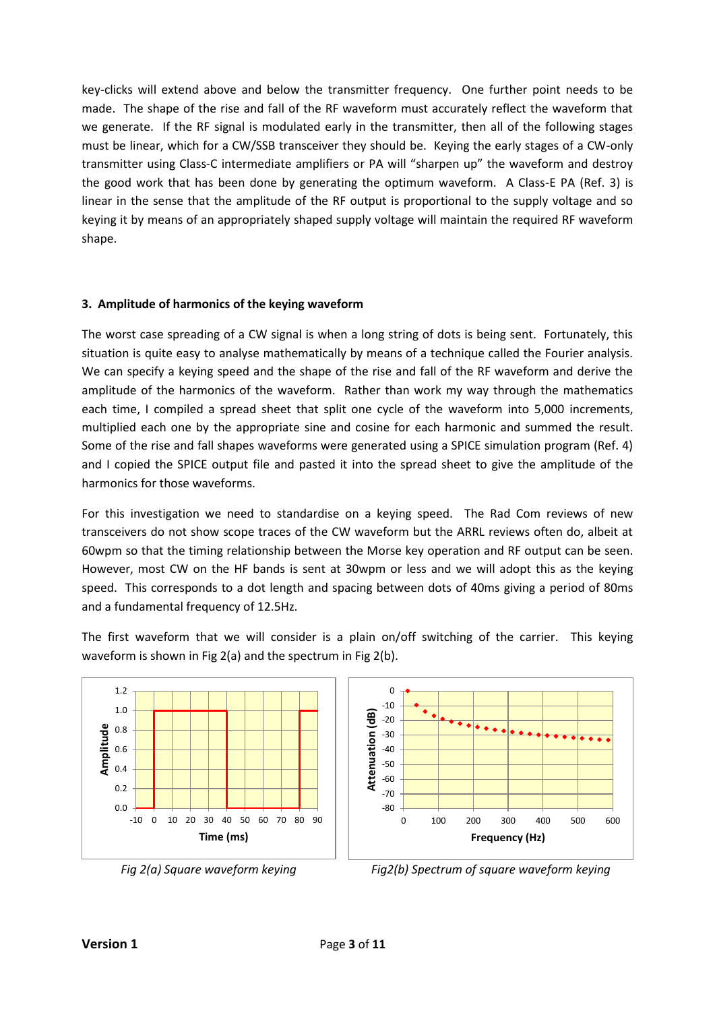key-clicks will extend above and below the transmitter frequency. One further point needs to be made. The shape of the rise and fall of the RF waveform must accurately reflect the waveform that we generate. If the RF signal is modulated early in the transmitter, then all of the following stages must be linear, which for a CW/SSB transceiver they should be. Keying the early stages of a CW-only transmitter using Class-C intermediate amplifiers or PA will "sharpen up" the waveform and destroy the good work that has been done by generating the optimum waveform. A Class-E PA (Ref. 3) is linear in the sense that the amplitude of the RF output is proportional to the supply voltage and so keying it by means of an appropriately shaped supply voltage will maintain the required RF waveform shape.

#### **3. Amplitude of harmonics of the keying waveform**

The worst case spreading of a CW signal is when a long string of dots is being sent. Fortunately, this situation is quite easy to analyse mathematically by means of a technique called the Fourier analysis. We can specify a keying speed and the shape of the rise and fall of the RF waveform and derive the amplitude of the harmonics of the waveform. Rather than work my way through the mathematics each time, I compiled a spread sheet that split one cycle of the waveform into 5,000 increments, multiplied each one by the appropriate sine and cosine for each harmonic and summed the result. Some of the rise and fall shapes waveforms were generated using a SPICE simulation program (Ref. 4) and I copied the SPICE output file and pasted it into the spread sheet to give the amplitude of the harmonics for those waveforms.

For this investigation we need to standardise on a keying speed. The Rad Com reviews of new transceivers do not show scope traces of the CW waveform but the ARRL reviews often do, albeit at 60wpm so that the timing relationship between the Morse key operation and RF output can be seen. However, most CW on the HF bands is sent at 30wpm or less and we will adopt this as the keying speed. This corresponds to a dot length and spacing between dots of 40ms giving a period of 80ms and a fundamental frequency of 12.5Hz.

The first waveform that we will consider is a plain on/off switching of the carrier. This keying waveform is shown in Fig 2(a) and the spectrum in Fig 2(b).





*Fig 2(a) Square waveform keying Fig2(b) Spectrum of square waveform keying*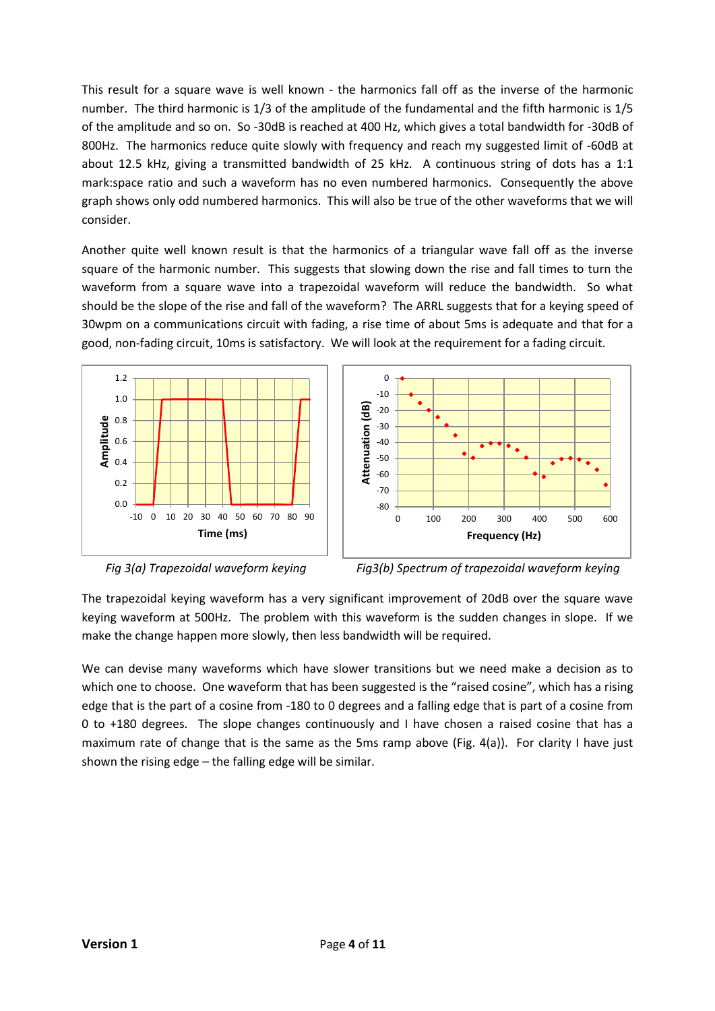This result for a square wave is well known - the harmonics fall off as the inverse of the harmonic number. The third harmonic is 1/3 of the amplitude of the fundamental and the fifth harmonic is 1/5 of the amplitude and so on. So -30dB is reached at 400 Hz, which gives a total bandwidth for -30dB of 800Hz. The harmonics reduce quite slowly with frequency and reach my suggested limit of -60dB at about 12.5 kHz, giving a transmitted bandwidth of 25 kHz. A continuous string of dots has a 1:1 mark:space ratio and such a waveform has no even numbered harmonics. Consequently the above graph shows only odd numbered harmonics. This will also be true of the other waveforms that we will consider.

Another quite well known result is that the harmonics of a triangular wave fall off as the inverse square of the harmonic number. This suggests that slowing down the rise and fall times to turn the waveform from a square wave into a trapezoidal waveform will reduce the bandwidth. So what should be the slope of the rise and fall of the waveform? The ARRL suggests that for a keying speed of 30wpm on a communications circuit with fading, a rise time of about 5ms is adequate and that for a good, non-fading circuit, 10ms is satisfactory. We will look at the requirement for a fading circuit.





*Fig 3(a) Trapezoidal waveform keying Fig3(b) Spectrum of trapezoidal waveform keying*

The trapezoidal keying waveform has a very significant improvement of 20dB over the square wave keying waveform at 500Hz. The problem with this waveform is the sudden changes in slope. If we make the change happen more slowly, then less bandwidth will be required.

We can devise many waveforms which have slower transitions but we need make a decision as to which one to choose. One waveform that has been suggested is the "raised cosine", which has a rising edge that is the part of a cosine from -180 to 0 degrees and a falling edge that is part of a cosine from 0 to +180 degrees. The slope changes continuously and I have chosen a raised cosine that has a maximum rate of change that is the same as the 5ms ramp above (Fig.  $4(a)$ ). For clarity I have just shown the rising edge – the falling edge will be similar.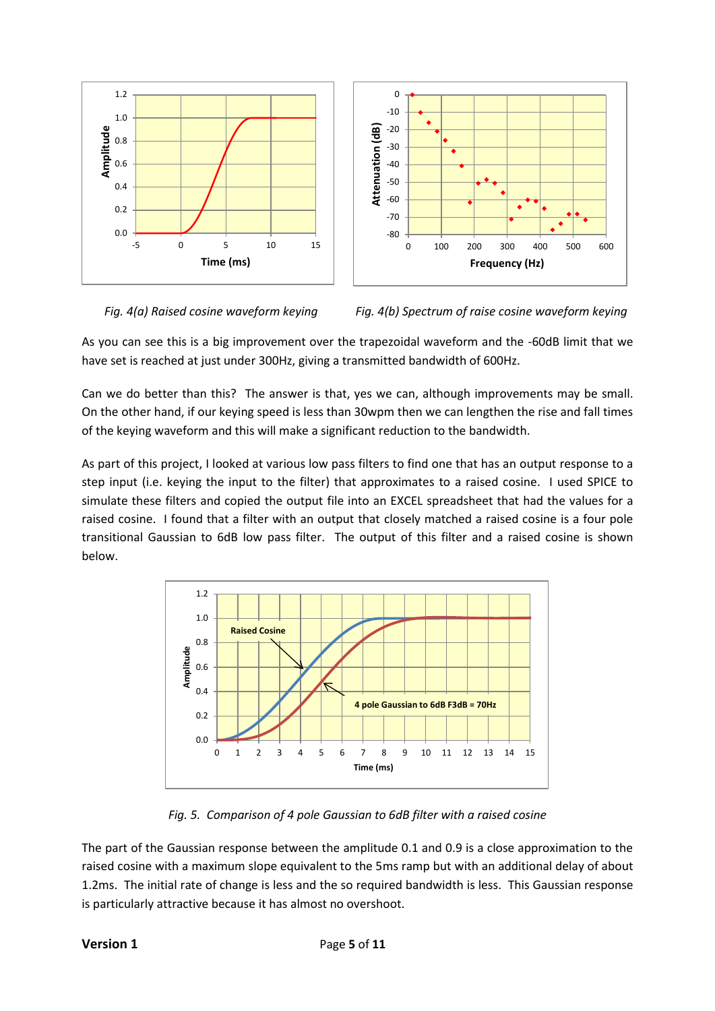



*Fig. 4(a) Raised cosine waveform keying Fig. 4(b) Spectrum of raise cosine waveform keying*

As you can see this is a big improvement over the trapezoidal waveform and the -60dB limit that we have set is reached at just under 300Hz, giving a transmitted bandwidth of 600Hz.

Can we do better than this? The answer is that, yes we can, although improvements may be small. On the other hand, if our keying speed is less than 30wpm then we can lengthen the rise and fall times of the keying waveform and this will make a significant reduction to the bandwidth.

As part of this project, I looked at various low pass filters to find one that has an output response to a step input (i.e. keying the input to the filter) that approximates to a raised cosine. I used SPICE to simulate these filters and copied the output file into an EXCEL spreadsheet that had the values for a raised cosine. I found that a filter with an output that closely matched a raised cosine is a four pole transitional Gaussian to 6dB low pass filter. The output of this filter and a raised cosine is shown below.



*Fig. 5. Comparison of 4 pole Gaussian to 6dB filter with a raised cosine*

The part of the Gaussian response between the amplitude 0.1 and 0.9 is a close approximation to the raised cosine with a maximum slope equivalent to the 5ms ramp but with an additional delay of about 1.2ms. The initial rate of change is less and the so required bandwidth is less. This Gaussian response is particularly attractive because it has almost no overshoot.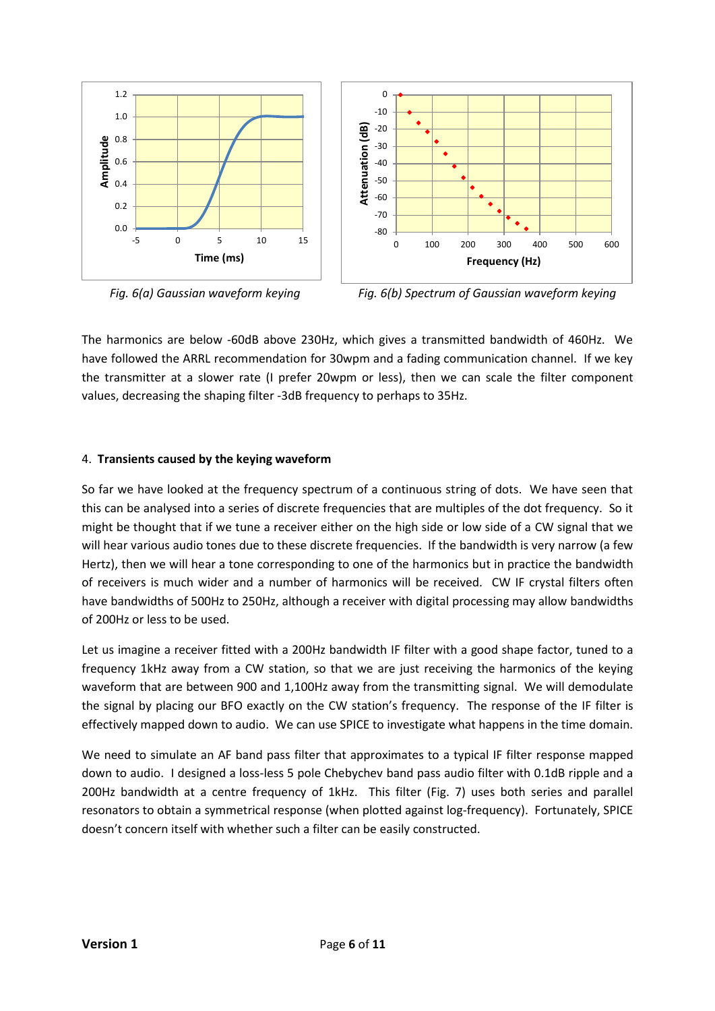

*Fig. 6(a) Gaussian waveform keying Fig. 6(b) Spectrum of Gaussian waveform keying*

The harmonics are below -60dB above 230Hz, which gives a transmitted bandwidth of 460Hz. We have followed the ARRL recommendation for 30wpm and a fading communication channel. If we key the transmitter at a slower rate (I prefer 20wpm or less), then we can scale the filter component values, decreasing the shaping filter -3dB frequency to perhaps to 35Hz.

### 4. **Transients caused by the keying waveform**

So far we have looked at the frequency spectrum of a continuous string of dots. We have seen that this can be analysed into a series of discrete frequencies that are multiples of the dot frequency. So it might be thought that if we tune a receiver either on the high side or low side of a CW signal that we will hear various audio tones due to these discrete frequencies. If the bandwidth is very narrow (a few Hertz), then we will hear a tone corresponding to one of the harmonics but in practice the bandwidth of receivers is much wider and a number of harmonics will be received. CW IF crystal filters often have bandwidths of 500Hz to 250Hz, although a receiver with digital processing may allow bandwidths of 200Hz or less to be used.

Let us imagine a receiver fitted with a 200Hz bandwidth IF filter with a good shape factor, tuned to a frequency 1kHz away from a CW station, so that we are just receiving the harmonics of the keying waveform that are between 900 and 1,100Hz away from the transmitting signal. We will demodulate the signal by placing our BFO exactly on the CW station's frequency. The response of the IF filter is effectively mapped down to audio. We can use SPICE to investigate what happens in the time domain.

We need to simulate an AF band pass filter that approximates to a typical IF filter response mapped down to audio. I designed a loss-less 5 pole Chebychev band pass audio filter with 0.1dB ripple and a 200Hz bandwidth at a centre frequency of 1kHz. This filter (Fig. 7) uses both series and parallel resonators to obtain a symmetrical response (when plotted against log-frequency). Fortunately, SPICE doesn't concern itself with whether such a filter can be easily constructed.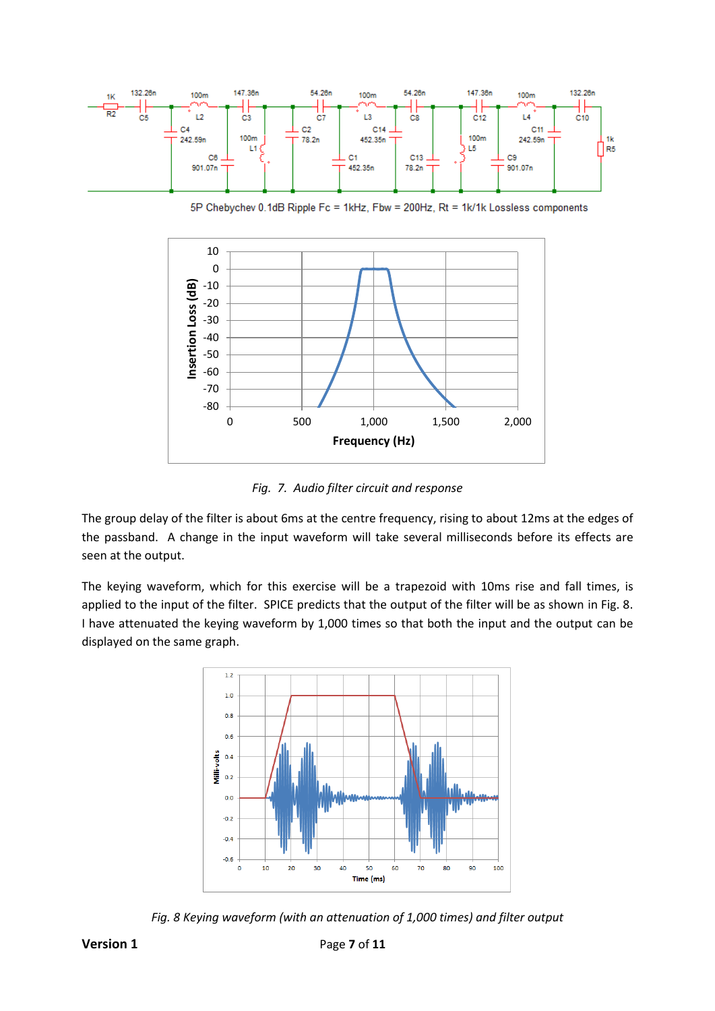

5P Chebychev 0.1dB Ripple Fc = 1kHz, Fbw = 200Hz, Rt = 1k/1k Lossless components



*Fig. 7. Audio filter circuit and response*

The group delay of the filter is about 6ms at the centre frequency, rising to about 12ms at the edges of the passband. A change in the input waveform will take several milliseconds before its effects are seen at the output.

The keying waveform, which for this exercise will be a trapezoid with 10ms rise and fall times, is applied to the input of the filter. SPICE predicts that the output of the filter will be as shown in Fig. 8. I have attenuated the keying waveform by 1,000 times so that both the input and the output can be displayed on the same graph.



*Fig. 8 Keying waveform (with an attenuation of 1,000 times) and filter output*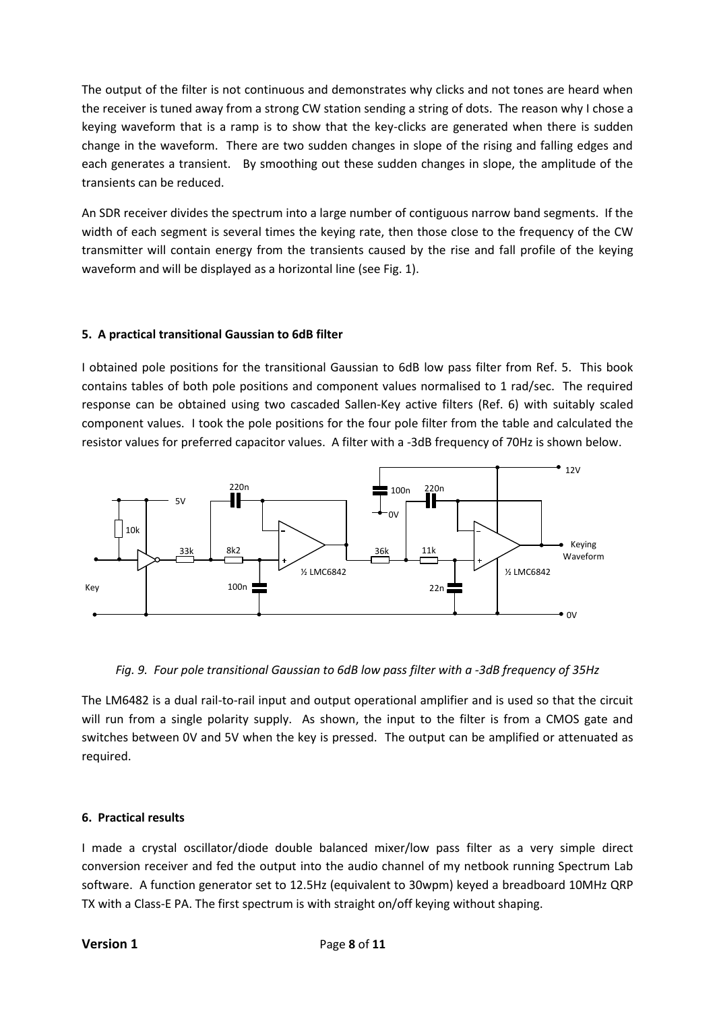The output of the filter is not continuous and demonstrates why clicks and not tones are heard when the receiver is tuned away from a strong CW station sending a string of dots. The reason why I chose a keying waveform that is a ramp is to show that the key-clicks are generated when there is sudden change in the waveform. There are two sudden changes in slope of the rising and falling edges and each generates a transient. By smoothing out these sudden changes in slope, the amplitude of the transients can be reduced.

An SDR receiver divides the spectrum into a large number of contiguous narrow band segments. If the width of each segment is several times the keying rate, then those close to the frequency of the CW transmitter will contain energy from the transients caused by the rise and fall profile of the keying waveform and will be displayed as a horizontal line (see Fig. 1).

#### **5. A practical transitional Gaussian to 6dB filter**

I obtained pole positions for the transitional Gaussian to 6dB low pass filter from Ref. 5. This book contains tables of both pole positions and component values normalised to 1 rad/sec. The required response can be obtained using two cascaded Sallen-Key active filters (Ref. 6) with suitably scaled component values. I took the pole positions for the four pole filter from the table and calculated the resistor values for preferred capacitor values. A filter with a -3dB frequency of 70Hz is shown below.



#### *Fig. 9. Four pole transitional Gaussian to 6dB low pass filter with a -3dB frequency of 35Hz*

The LM6482 is a dual rail-to-rail input and output operational amplifier and is used so that the circuit will run from a single polarity supply. As shown, the input to the filter is from a CMOS gate and switches between 0V and 5V when the key is pressed. The output can be amplified or attenuated as required.

#### **6. Practical results**

I made a crystal oscillator/diode double balanced mixer/low pass filter as a very simple direct conversion receiver and fed the output into the audio channel of my netbook running Spectrum Lab software. A function generator set to 12.5Hz (equivalent to 30wpm) keyed a breadboard 10MHz QRP TX with a Class-E PA. The first spectrum is with straight on/off keying without shaping.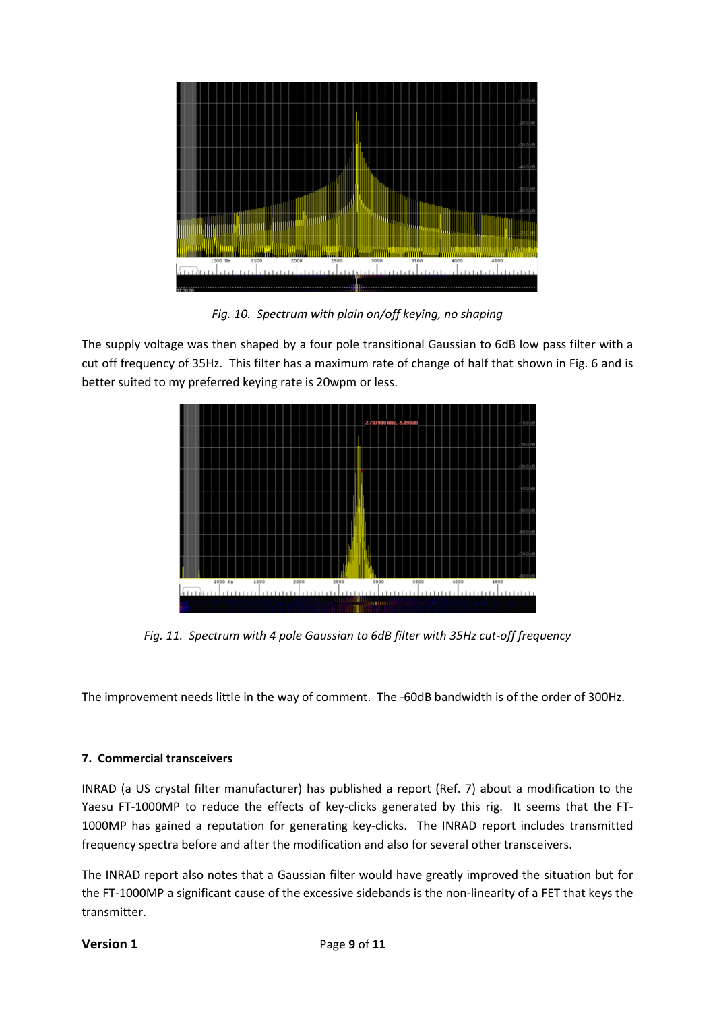

*Fig. 10. Spectrum with plain on/off keying, no shaping*

The supply voltage was then shaped by a four pole transitional Gaussian to 6dB low pass filter with a cut off frequency of 35Hz. This filter has a maximum rate of change of half that shown in Fig. 6 and is better suited to my preferred keying rate is 20wpm or less.



*Fig. 11. Spectrum with 4 pole Gaussian to 6dB filter with 35Hz cut-off frequency*

The improvement needs little in the way of comment. The -60dB bandwidth is of the order of 300Hz.

#### **7. Commercial transceivers**

INRAD (a US crystal filter manufacturer) has published a report (Ref. 7) about a modification to the Yaesu FT-1000MP to reduce the effects of key-clicks generated by this rig. It seems that the FT-1000MP has gained a reputation for generating key-clicks. The INRAD report includes transmitted frequency spectra before and after the modification and also for several other transceivers.

The INRAD report also notes that a Gaussian filter would have greatly improved the situation but for the FT-1000MP a significant cause of the excessive sidebands is the non-linearity of a FET that keys the transmitter.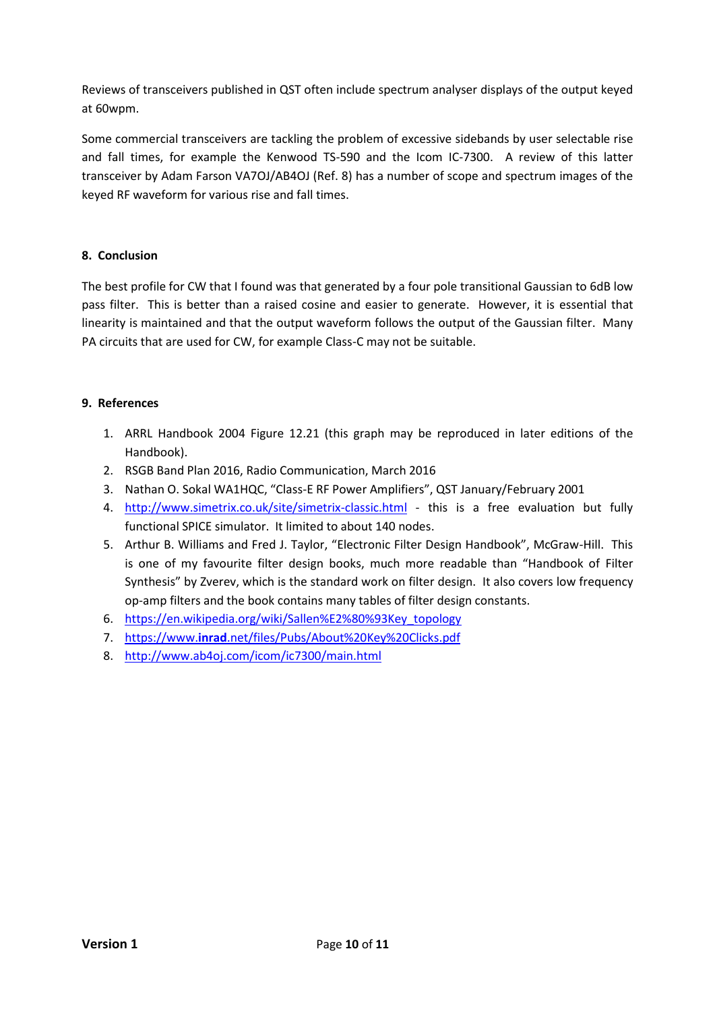Reviews of transceivers published in QST often include spectrum analyser displays of the output keyed at 60wpm.

Some commercial transceivers are tackling the problem of excessive sidebands by user selectable rise and fall times, for example the Kenwood TS-590 and the Icom IC-7300. A review of this latter transceiver by Adam Farson VA7OJ/AB4OJ (Ref. 8) has a number of scope and spectrum images of the keyed RF waveform for various rise and fall times.

### **8. Conclusion**

The best profile for CW that I found was that generated by a four pole transitional Gaussian to 6dB low pass filter. This is better than a raised cosine and easier to generate. However, it is essential that linearity is maintained and that the output waveform follows the output of the Gaussian filter. Many PA circuits that are used for CW, for example Class-C may not be suitable.

### **9. References**

- 1. ARRL Handbook 2004 Figure 12.21 (this graph may be reproduced in later editions of the Handbook).
- 2. RSGB Band Plan 2016, Radio Communication, March 2016
- 3. Nathan O. Sokal WA1HQC, "Class-E RF Power Amplifiers", QST January/February 2001
- 4. <http://www.simetrix.co.uk/site/simetrix-classic.html> this is a free evaluation but fully functional SPICE simulator. It limited to about 140 nodes.
- 5. Arthur B. Williams and Fred J. Taylor, "Electronic Filter Design Handbook", McGraw-Hill. This is one of my favourite filter design books, much more readable than "Handbook of Filter Synthesis" by Zverev, which is the standard work on filter design. It also covers low frequency op-amp filters and the book contains many tables of filter design constants.
- 6. [https://en.wikipedia.org/wiki/Sallen%E2%80%93Key\\_topology](https://en.wikipedia.org/wiki/Sallen%E2%80%93Key_topology)
- 7. https://www.**inrad**[.net/files/Pubs/About%20Key%20Clicks.pdf](https://www.inrad.net/files/Pubs/About%20Key%20Clicks.pdf)
- 8. <http://www.ab4oj.com/icom/ic7300/main.html>